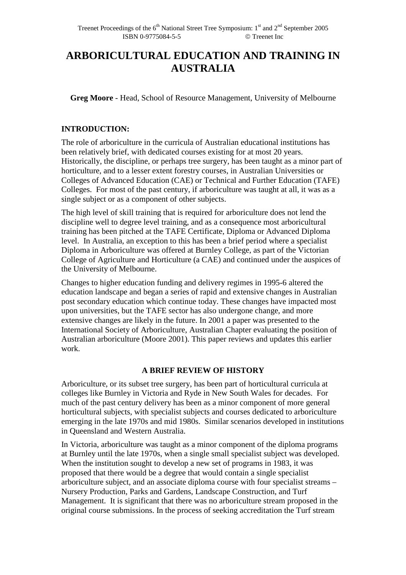# **ARBORICULTURAL EDUCATION AND TRAINING IN AUSTRALIA**

**Greg Moore** - Head, School of Resource Management, University of Melbourne

## **INTRODUCTION:**

The role of arboriculture in the curricula of Australian educational institutions has been relatively brief, with dedicated courses existing for at most 20 years. Historically, the discipline, or perhaps tree surgery, has been taught as a minor part of horticulture, and to a lesser extent forestry courses, in Australian Universities or Colleges of Advanced Education (CAE) or Technical and Further Education (TAFE) Colleges. For most of the past century, if arboriculture was taught at all, it was as a single subject or as a component of other subjects.

The high level of skill training that is required for arboriculture does not lend the discipline well to degree level training, and as a consequence most arboricultural training has been pitched at the TAFE Certificate, Diploma or Advanced Diploma level. In Australia, an exception to this has been a brief period where a specialist Diploma in Arboriculture was offered at Burnley College, as part of the Victorian College of Agriculture and Horticulture (a CAE) and continued under the auspices of the University of Melbourne.

Changes to higher education funding and delivery regimes in 1995-6 altered the education landscape and began a series of rapid and extensive changes in Australian post secondary education which continue today. These changes have impacted most upon universities, but the TAFE sector has also undergone change, and more extensive changes are likely in the future. In 2001 a paper was presented to the International Society of Arboriculture, Australian Chapter evaluating the position of Australian arboriculture (Moore 2001). This paper reviews and updates this earlier work.

## **A BRIEF REVIEW OF HISTORY**

Arboriculture, or its subset tree surgery, has been part of horticultural curricula at colleges like Burnley in Victoria and Ryde in New South Wales for decades. For much of the past century delivery has been as a minor component of more general horticultural subjects, with specialist subjects and courses dedicated to arboriculture emerging in the late 1970s and mid 1980s. Similar scenarios developed in institutions in Queensland and Western Australia.

In Victoria, arboriculture was taught as a minor component of the diploma programs at Burnley until the late 1970s, when a single small specialist subject was developed. When the institution sought to develop a new set of programs in 1983, it was proposed that there would be a degree that would contain a single specialist arboriculture subject, and an associate diploma course with four specialist streams – Nursery Production, Parks and Gardens, Landscape Construction, and Turf Management. It is significant that there was no arboriculture stream proposed in the original course submissions. In the process of seeking accreditation the Turf stream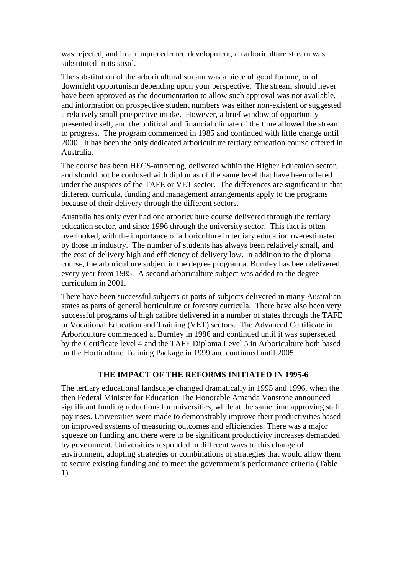was rejected, and in an unprecedented development, an arboriculture stream was substituted in its stead.

The substitution of the arboricultural stream was a piece of good fortune, or of downright opportunism depending upon your perspective. The stream should never have been approved as the documentation to allow such approval was not available, and information on prospective student numbers was either non-existent or suggested a relatively small prospective intake. However, a brief window of opportunity presented itself, and the political and financial climate of the time allowed the stream to progress. The program commenced in 1985 and continued with little change until 2000. It has been the only dedicated arboriculture tertiary education course offered in Australia.

The course has been HECS-attracting, delivered within the Higher Education sector, and should not be confused with diplomas of the same level that have been offered under the auspices of the TAFE or VET sector. The differences are significant in that different curricula, funding and management arrangements apply to the programs because of their delivery through the different sectors.

Australia has only ever had one arboriculture course delivered through the tertiary education sector, and since 1996 through the university sector. This fact is often overlooked, with the importance of arboriculture in tertiary education overestimated by those in industry. The number of students has always been relatively small, and the cost of delivery high and efficiency of delivery low. In addition to the diploma course, the arboriculture subject in the degree program at Burnley has been delivered every year from 1985. A second arboriculture subject was added to the degree curriculum in 2001.

There have been successful subjects or parts of subjects delivered in many Australian states as parts of general horticulture or forestry curricula. There have also been very successful programs of high calibre delivered in a number of states through the TAFE or Vocational Education and Training (VET) sectors. The Advanced Certificate in Arboriculture commenced at Burnley in 1986 and continued until it was superseded by the Certificate level 4 and the TAFE Diploma Level 5 in Arboriculture both based on the Horticulture Training Package in 1999 and continued until 2005.

#### **THE IMPACT OF THE REFORMS INITIATED IN 1995-6**

The tertiary educational landscape changed dramatically in 1995 and 1996, when the then Federal Minister for Education The Honorable Amanda Vanstone announced significant funding reductions for universities, while at the same time approving staff pay rises. Universities were made to demonstrably improve their productivities based on improved systems of measuring outcomes and efficiencies. There was a major squeeze on funding and there were to be significant productivity increases demanded by government. Universities responded in different ways to this change of environment, adopting strategies or combinations of strategies that would allow them to secure existing funding and to meet the government's performance criteria (Table 1).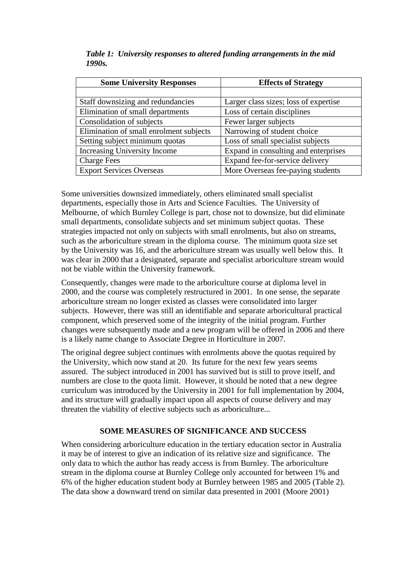| <b>Some University Responses</b>        | <b>Effects of Strategy</b>            |  |  |
|-----------------------------------------|---------------------------------------|--|--|
|                                         |                                       |  |  |
| Staff downsizing and redundancies       | Larger class sizes; loss of expertise |  |  |
| Elimination of small departments        | Loss of certain disciplines           |  |  |
| Consolidation of subjects               | Fewer larger subjects                 |  |  |
| Elimination of small enrolment subjects | Narrowing of student choice           |  |  |
| Setting subject minimum quotas          | Loss of small specialist subjects     |  |  |
| Increasing University Income            | Expand in consulting and enterprises  |  |  |
| <b>Charge Fees</b>                      | Expand fee-for-service delivery       |  |  |
| <b>Export Services Overseas</b>         | More Overseas fee-paying students     |  |  |

*Table 1: University responses to altered funding arrangements in the mid 1990s.* 

Some universities downsized immediately, others eliminated small specialist departments, especially those in Arts and Science Faculties. The University of Melbourne, of which Burnley College is part, chose not to downsize, but did eliminate small departments, consolidate subjects and set minimum subject quotas. These strategies impacted not only on subjects with small enrolments, but also on streams, such as the arboriculture stream in the diploma course. The minimum quota size set by the University was 16, and the arboriculture stream was usually well below this. It was clear in 2000 that a designated, separate and specialist arboriculture stream would not be viable within the University framework.

Consequently, changes were made to the arboriculture course at diploma level in 2000, and the course was completely restructured in 2001. In one sense, the separate arboriculture stream no longer existed as classes were consolidated into larger subjects. However, there was still an identifiable and separate arboricultural practical component, which preserved some of the integrity of the initial program. Further changes were subsequently made and a new program will be offered in 2006 and there is a likely name change to Associate Degree in Horticulture in 2007.

The original degree subject continues with enrolments above the quotas required by the University, which now stand at 20. Its future for the next few years seems assured. The subject introduced in 2001 has survived but is still to prove itself, and numbers are close to the quota limit. However, it should be noted that a new degree curriculum was introduced by the University in 2001 for full implementation by 2004, and its structure will gradually impact upon all aspects of course delivery and may threaten the viability of elective subjects such as arboriculture...

## **SOME MEASURES OF SIGNIFICANCE AND SUCCESS**

When considering arboriculture education in the tertiary education sector in Australia it may be of interest to give an indication of its relative size and significance. The only data to which the author has ready access is from Burnley. The arboriculture stream in the diploma course at Burnley College only accounted for between 1% and 6% of the higher education student body at Burnley between 1985 and 2005 (Table 2). The data show a downward trend on similar data presented in 2001 (Moore 2001)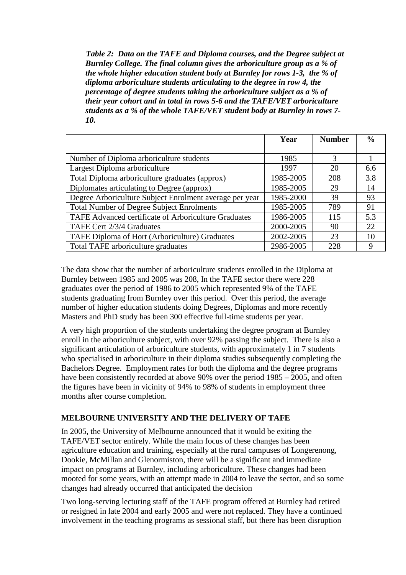*Table 2: Data on the TAFE and Diploma courses, and the Degree subject at Burnley College. The final column gives the arboriculture group as a % of the whole higher education student body at Burnley for rows 1-3, the % of diploma arboriculture students articulating to the degree in row 4, the percentage of degree students taking the arboriculture subject as a % of their year cohort and in total in rows 5-6 and the TAFE/VET arboriculture students as a % of the whole TAFE/VET student body at Burnley in rows 7- 10.* 

|                                                         | Year      | <b>Number</b> | $\frac{6}{9}$ |
|---------------------------------------------------------|-----------|---------------|---------------|
|                                                         |           |               |               |
| Number of Diploma arboriculture students                | 1985      | 3             |               |
| Largest Diploma arboriculture                           | 1997      | 20            | 6.6           |
| Total Diploma arboriculture graduates (approx)          | 1985-2005 | 208           | 3.8           |
| Diplomates articulating to Degree (approx)              | 1985-2005 | 29            | 14            |
| Degree Arboriculture Subject Enrolment average per year | 1985-2000 | 39            | 93            |
| <b>Total Number of Degree Subject Enrolments</b>        | 1985-2005 | 789           | 91            |
| TAFE Advanced certificate of Arboriculture Graduates    | 1986-2005 | 115           | 5.3           |
| TAFE Cert 2/3/4 Graduates                               | 2000-2005 | 90            | 22            |
| TAFE Diploma of Hort (Arboriculture) Graduates          | 2002-2005 | 23            | 10            |
| Total TAFE arboriculture graduates                      | 2986-2005 | 228           | 9             |

The data show that the number of arboriculture students enrolled in the Diploma at Burnley between 1985 and 2005 was 208, In the TAFE sector there were 228 graduates over the period of 1986 to 2005 which represented 9% of the TAFE students graduating from Burnley over this period. Over this period, the average number of higher education students doing Degrees, Diplomas and more recently Masters and PhD study has been 300 effective full-time students per year.

A very high proportion of the students undertaking the degree program at Burnley enroll in the arboriculture subject, with over 92% passing the subject. There is also a significant articulation of arboriculture students, with approximately 1 in 7 students who specialised in arboriculture in their diploma studies subsequently completing the Bachelors Degree. Employment rates for both the diploma and the degree programs have been consistently recorded at above 90% over the period 1985 – 2005, and often the figures have been in vicinity of 94% to 98% of students in employment three months after course completion.

## **MELBOURNE UNIVERSITY AND THE DELIVERY OF TAFE**

In 2005, the University of Melbourne announced that it would be exiting the TAFE/VET sector entirely. While the main focus of these changes has been agriculture education and training, especially at the rural campuses of Longerenong, Dookie, McMillan and Glenormiston, there will be a significant and immediate impact on programs at Burnley, including arboriculture. These changes had been mooted for some years, with an attempt made in 2004 to leave the sector, and so some changes had already occurred that anticipated the decision

Two long-serving lecturing staff of the TAFE program offered at Burnley had retired or resigned in late 2004 and early 2005 and were not replaced. They have a continued involvement in the teaching programs as sessional staff, but there has been disruption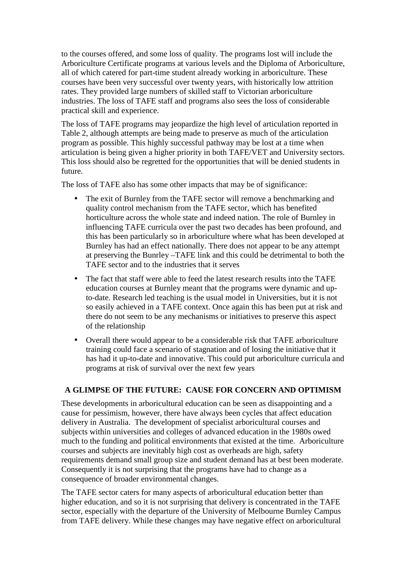to the courses offered, and some loss of quality. The programs lost will include the Arboriculture Certificate programs at various levels and the Diploma of Arboriculture, all of which catered for part-time student already working in arboriculture. These courses have been very successful over twenty years, with historically low attrition rates. They provided large numbers of skilled staff to Victorian arboriculture industries. The loss of TAFE staff and programs also sees the loss of considerable practical skill and experience.

The loss of TAFE programs may jeopardize the high level of articulation reported in Table 2, although attempts are being made to preserve as much of the articulation program as possible. This highly successful pathway may be lost at a time when articulation is being given a higher priority in both TAFE/VET and University sectors. This loss should also be regretted for the opportunities that will be denied students in future.

The loss of TAFE also has some other impacts that may be of significance:

- The exit of Burnley from the TAFE sector will remove a benchmarking and quality control mechanism from the TAFE sector, which has benefited horticulture across the whole state and indeed nation. The role of Burnley in influencing TAFE curricula over the past two decades has been profound, and this has been particularly so in arboriculture where what has been developed at Burnley has had an effect nationally. There does not appear to be any attempt at preserving the Bunrley –TAFE link and this could be detrimental to both the TAFE sector and to the industries that it serves
- The fact that staff were able to feed the latest research results into the TAFE education courses at Burnley meant that the programs were dynamic and upto-date. Research led teaching is the usual model in Universities, but it is not so easily achieved in a TAFE context. Once again this has been put at risk and there do not seem to be any mechanisms or initiatives to preserve this aspect of the relationship
- Overall there would appear to be a considerable risk that TAFE arboriculture training could face a scenario of stagnation and of losing the initiative that it has had it up-to-date and innovative. This could put arboriculture curricula and programs at risk of survival over the next few years

# **A GLIMPSE OF THE FUTURE: CAUSE FOR CONCERN AND OPTIMISM**

These developments in arboricultural education can be seen as disappointing and a cause for pessimism, however, there have always been cycles that affect education delivery in Australia. The development of specialist arboricultural courses and subjects within universities and colleges of advanced education in the 1980s owed much to the funding and political environments that existed at the time. Arboriculture courses and subjects are inevitably high cost as overheads are high, safety requirements demand small group size and student demand has at best been moderate. Consequently it is not surprising that the programs have had to change as a consequence of broader environmental changes.

The TAFE sector caters for many aspects of arboricultural education better than higher education, and so it is not surprising that delivery is concentrated in the TAFE sector, especially with the departure of the University of Melbourne Burnley Campus from TAFE delivery. While these changes may have negative effect on arboricultural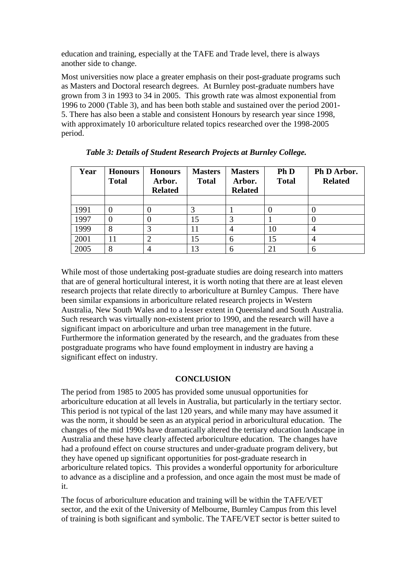education and training, especially at the TAFE and Trade level, there is always another side to change.

Most universities now place a greater emphasis on their post-graduate programs such as Masters and Doctoral research degrees. At Burnley post-graduate numbers have grown from 3 in 1993 to 34 in 2005. This growth rate was almost exponential from 1996 to 2000 (Table 3), and has been both stable and sustained over the period 2001- 5. There has also been a stable and consistent Honours by research year since 1998, with approximately 10 arboriculture related topics researched over the 1998-2005 period.

| Year | <b>Honours</b><br><b>Total</b> | <b>Honours</b><br>Arbor.<br><b>Related</b> | <b>Masters</b><br><b>Total</b> | <b>Masters</b><br>Arbor.<br><b>Related</b> | Ph D<br><b>Total</b> | Ph D Arbor.<br><b>Related</b> |
|------|--------------------------------|--------------------------------------------|--------------------------------|--------------------------------------------|----------------------|-------------------------------|
|      |                                |                                            |                                |                                            |                      |                               |
| 1991 |                                |                                            |                                |                                            |                      |                               |
| 1997 |                                |                                            | 15                             |                                            |                      |                               |
| 1999 | 8                              |                                            |                                |                                            | 10                   | $\overline{4}$                |
| 2001 | 11                             |                                            | 15                             | 6                                          |                      | 4                             |
| 2005 |                                |                                            | 13                             | 6                                          |                      | 6                             |

While most of those undertaking post-graduate studies are doing research into matters that are of general horticultural interest, it is worth noting that there are at least eleven research projects that relate directly to arboriculture at Burnley Campus. There have been similar expansions in arboriculture related research projects in Western Australia, New South Wales and to a lesser extent in Queensland and South Australia. Such research was virtually non-existent prior to 1990, and the research will have a significant impact on arboriculture and urban tree management in the future. Furthermore the information generated by the research, and the graduates from these postgraduate programs who have found employment in industry are having a significant effect on industry.

#### **CONCLUSION**

The period from 1985 to 2005 has provided some unusual opportunities for arboriculture education at all levels in Australia, but particularly in the tertiary sector. This period is not typical of the last 120 years, and while many may have assumed it was the norm, it should be seen as an atypical period in arboricultural education. The changes of the mid 1990s have dramatically altered the tertiary education landscape in Australia and these have clearly affected arboriculture education. The changes have had a profound effect on course structures and under-graduate program delivery, but they have opened up significant opportunities for post-graduate research in arboriculture related topics. This provides a wonderful opportunity for arboriculture to advance as a discipline and a profession, and once again the most must be made of it.

The focus of arboriculture education and training will be within the TAFE/VET sector, and the exit of the University of Melbourne, Burnley Campus from this level of training is both significant and symbolic. The TAFE/VET sector is better suited to